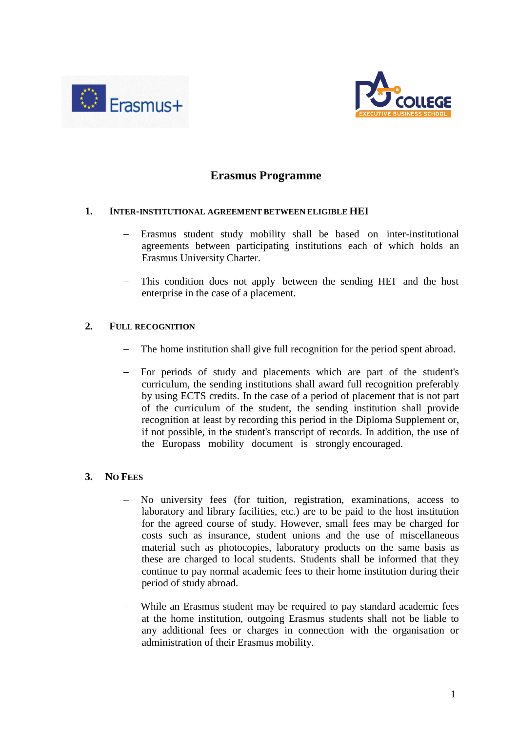



# **Erasmus Programme**

## **1. INTER-INSTITUTIONAL AGREEMENT BETWEEN ELIGIBLE HEI**

- Erasmus student study mobility shall be based on inter-institutional agreements between participating institutions each of which holds an Erasmus University Charter.
- This condition does not apply between the sending HEI and the host enterprise in the case of a placement.

## **2. FULL RECOGNITION**

- The home institution shall give full recognition for the period spent abroad.
- For periods of study and placements which are part of the student's curriculum, the sending institutions shall award full recognition preferably by using ECTS credits. In the case of a period of placement that is not part of the curriculum of the student, the sending institution shall provide recognition at least by recording this period in the Diploma Supplement or, if not possible, in the student's transcript of records. In addition, the use of the Europass mobility document is strongly encouraged.

## **3. NO FEES**

- No university fees (for tuition, registration, examinations, access to laboratory and library facilities, etc.) are to be paid to the host institution for the agreed course of study. However, small fees may be charged for costs such as insurance, student unions and the use of miscellaneous material such as photocopies, laboratory products on the same basis as these are charged to local students. Students shall be informed that they continue to pay normal academic fees to their home institution during their period of study abroad.
- While an Erasmus student may be required to pay standard academic fees at the home institution, outgoing Erasmus students shall not be liable to any additional fees or charges in connection with the organisation or administration of their Erasmus mobility.